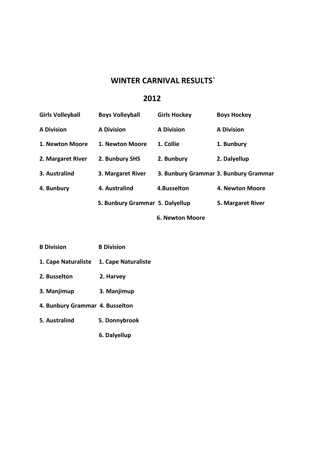# **WINTER CARNIVAL RESULTS`**

### **2012**

| <b>Girls Volleyball</b> | <b>Boys Volleyball</b>          | <b>Girls Hockey</b> | <b>Boys Hockey</b>                    |
|-------------------------|---------------------------------|---------------------|---------------------------------------|
| <b>A Division</b>       | <b>A Division</b>               | <b>A Division</b>   | <b>A Division</b>                     |
| 1. Newton Moore         | 1. Newton Moore                 | 1. Collie           | 1. Bunbury                            |
| 2. Margaret River       | 2. Bunbury SHS                  | 2. Bunbury          | 2. Dalyellup                          |
| 3. Australind           | 3. Margaret River               |                     | 3. Bunbury Grammar 3. Bunbury Grammar |
| 4. Bunbury              | 4. Australind                   | 4.Busselton         | 4. Newton Moore                       |
|                         | 5. Bunbury Grammar 5. Dalyellup |                     | 5. Margaret River                     |
|                         |                                 | 6. Newton Moore     |                                       |

| <b>B Division</b> | <b>B</b> Division |
|-------------------|-------------------|
|-------------------|-------------------|

- **1. Cape Naturaliste 1. Cape Naturaliste**
- **2. Busselton 2. Harvey**
- **3. Manjimup 3. Manjimup**
- **4. Bunbury Grammar 4. Busselton**
- **5. Australind 5. Donnybrook**
	- **6. Dalyellup**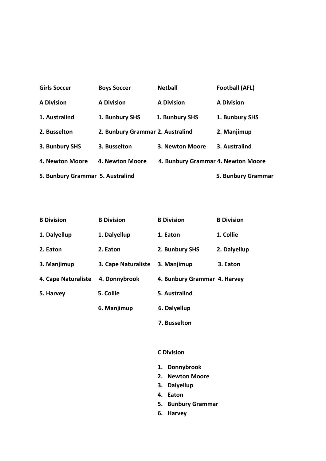| <b>Girls Soccer</b>              | <b>Boys Soccer</b>               | <b>Netball</b>                     | <b>Football (AFL)</b> |
|----------------------------------|----------------------------------|------------------------------------|-----------------------|
| <b>A Division</b>                | <b>A Division</b>                | <b>A Division</b>                  | <b>A Division</b>     |
| 1. Australind                    | 1. Bunbury SHS                   | 1. Bunbury SHS                     | 1. Bunbury SHS        |
| 2. Busselton                     | 2. Bunbury Grammar 2. Australind |                                    | 2. Manjimup           |
| 3. Bunbury SHS                   | 3. Busselton                     | 3. Newton Moore                    | 3. Australind         |
| 4. Newton Moore                  | 4. Newton Moore                  | 4. Bunbury Grammar 4. Newton Moore |                       |
| 5. Bunbury Grammar 5. Australind |                                  |                                    | 5. Bunbury Grammar    |

| <b>B</b> Division   | <b>B</b> Division          | <b>B</b> Division            | <b>B</b> Division |
|---------------------|----------------------------|------------------------------|-------------------|
| 1. Dalyellup        | 1. Dalyellup               | 1. Eaton                     | 1. Collie         |
| 2. Eaton            | 2. Eaton                   | 2. Bunbury SHS               | 2. Dalyellup      |
| 3. Manjimup         | <b>3. Cape Naturaliste</b> | 3. Manjimup                  | 3. Eaton          |
| 4. Cape Naturaliste | 4. Donnybrook              | 4. Bunbury Grammar 4. Harvey |                   |
| 5. Harvey           | 5. Collie                  | 5. Australind                |                   |
|                     | 6. Manjimup                | 6. Dalyellup                 |                   |
|                     |                            |                              |                   |

 **7. Busselton**

## **C Division**

- **1. Donnybrook**
- **2. Newton Moore**
- **3. Dalyellup**
- **4. Eaton**
- **5. Bunbury Grammar**
- **6. Harvey**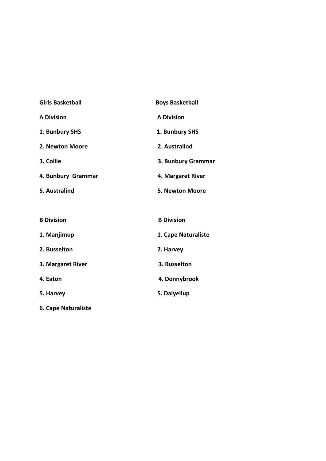| <b>Girls Basketball</b>    | <b>Boys Basketball</b> |
|----------------------------|------------------------|
| <b>A Division</b>          | <b>A Division</b>      |
| 1. Bunbury SHS             | 1. Bunbury SHS         |
| 2. Newton Moore            | 2. Australind          |
| 3. Collie                  | 3. Bunbury Grammar     |
| 4. Bunbury Grammar         | 4. Margaret River      |
| 5. Australind              | 5. Newton Moore        |
|                            |                        |
| <b>B</b> Division          | <b>B</b> Division      |
| 1. Manjimup                | 1. Cape Naturaliste    |
| 2. Busselton               | 2. Harvey              |
| 3. Margaret River          | 3. Busselton           |
| 4. Eaton                   | 4. Donnybrook          |
| 5. Harvey                  | 5. Dalyellup           |
| <b>6. Cape Naturaliste</b> |                        |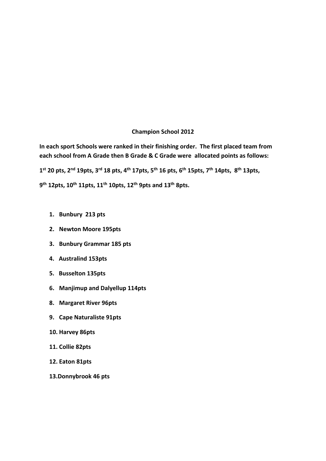#### **Champion School 2012**

**In each sport Schools were ranked in their finishing order. The first placed team from each school from A Grade then B Grade & C Grade were allocated points as follows:**  1<sup>st</sup> 20 pts, 2<sup>nd</sup> 19pts, 3<sup>rd</sup> 18 pts, 4<sup>th</sup> 17pts, 5<sup>th</sup> 16 pts, 6<sup>th</sup> 15pts, 7<sup>th</sup> 14pts, 8<sup>th</sup> 13pts, **9 th 12pts, 10th 11pts, 11 th 10pts, 12th 9pts and 13th 8pts.**

- **1. Bunbury 213 pts**
- **2. Newton Moore 195pts**
- **3. Bunbury Grammar 185 pts**
- **4. Australind 153pts**
- **5. Busselton 135pts**
- **6. Manjimup and Dalyellup 114pts**
- **8. Margaret River 96pts**
- **9. Cape Naturaliste 91pts**
- **10. Harvey 86pts**
- **11. Collie 82pts**
- **12. Eaton 81pts**
- **13.Donnybrook 46 pts**